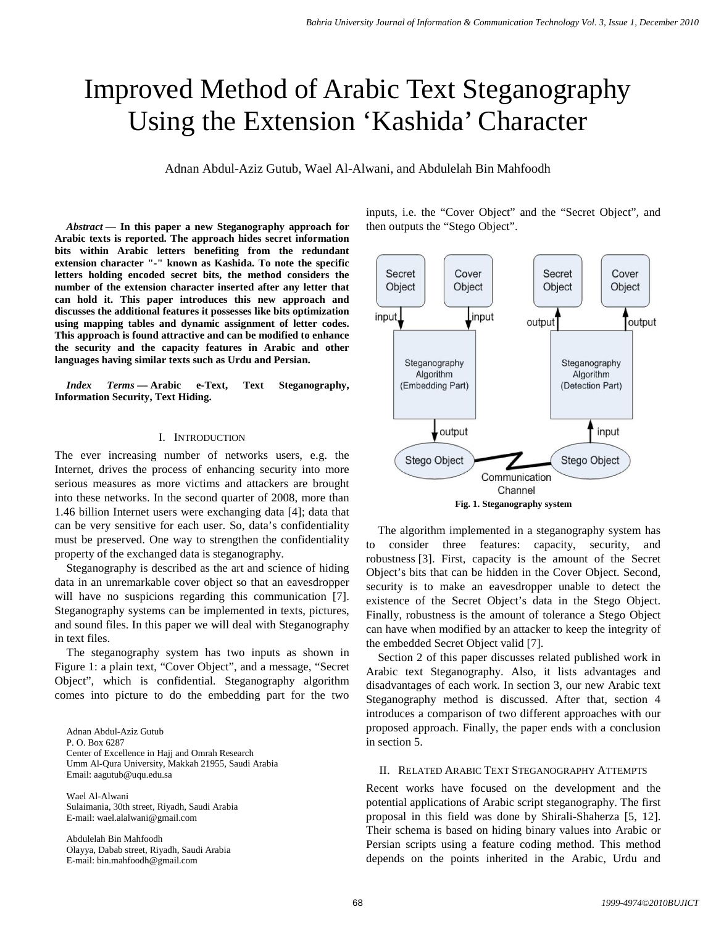# Improved Method of Arabic Text Steganography Using the Extension 'Kashida' Character

Adnan Abdul-Aziz Gutub, Wael Al-Alwani, and Abdulelah Bin Mahfoodh

*Abstract* **— In this paper a new Steganography approach for Arabic texts is reported. The approach hides secret information bits within Arabic letters benefiting from the redundant extension character "-" known as Kashida. To note the specific letters holding encoded secret bits, the method considers the number of the extension character inserted after any letter that can hold it. This paper introduces this new approach and discusses the additional features it possesses like bits optimization using mapping tables and dynamic assignment of letter codes. This approach is found attractive and can be modified to enhance the security and the capacity features in Arabic and other languages having similar texts such as Urdu and Persian.**

*Index Terms* **— Arabic e-Text, Text Steganography, Information Security, Text Hiding.**

## I. INTRODUCTION

The ever increasing number of networks users, e.g. the Internet, drives the process of enhancing security into more serious measures as more victims and attackers are brought into these networks. In the second quarter of 2008, more than 1.46 billion Internet users were exchanging data [4]; data that can be very sensitive for each user. So, data's confidentiality must be preserved. One way to strengthen the confidentiality property of the exchanged data is steganography.

Steganography is described as the art and science of hiding data in an unremarkable cover object so that an eavesdropper will have no suspicions regarding this communication [7]. Steganography systems can be implemented in texts, pictures, and sound files. In this paper we will deal with Steganography in text files.

The steganography system has two inputs as shown in Figure 1: a plain text, "Cover Object", and a message, "Secret Object", which is confidential. Steganography algorithm comes into picture to do the embedding part for the two

Adnan Abdul-Aziz Gutub P. O. Box 6287 Center of Excellence in Hajj and Omrah Research Umm Al-Qura University, Makkah 21955, Saudi Arabia Email: aagutub@uqu.edu.sa

Wael Al-Alwani Sulaimania, 30th street, Riyadh, Saudi Arabia E-mail: wael.alalwani@gmail.com

Abdulelah Bin Mahfoodh Olayya, Dabab street, Riyadh, Saudi Arabia E-mail: bin.mahfoodh@gmail.com

inputs, i.e. the "Cover Object" and the "Secret Object", and then outputs the "Stego Object".



The algorithm implemented in a steganography system has to consider three features: capacity, security, and robustness [3]. First, capacity is the amount of the Secret Object's bits that can be hidden in the Cover Object. Second, security is to make an eavesdropper unable to detect the existence of the Secret Object's data in the Stego Object. Finally, robustness is the amount of tolerance a Stego Object can have when modified by an attacker to keep the integrity of the embedded Secret Object valid [7].

Section 2 of this paper discusses related published work in Arabic text Steganography. Also, it lists advantages and disadvantages of each work. In section 3, our new Arabic text Steganography method is discussed. After that, section 4 introduces a comparison of two different approaches with our proposed approach. Finally, the paper ends with a conclusion in section 5.

### II. RELATED ARABIC TEXT STEGANOGRAPHY ATTEMPTS

Recent works have focused on the development and the potential applications of Arabic script steganography. The first proposal in this field was done by Shirali-Shaherza [5, 12]. Their schema is based on hiding binary values into Arabic or Persian scripts using a feature coding method. This method depends on the points inherited in the Arabic, Urdu and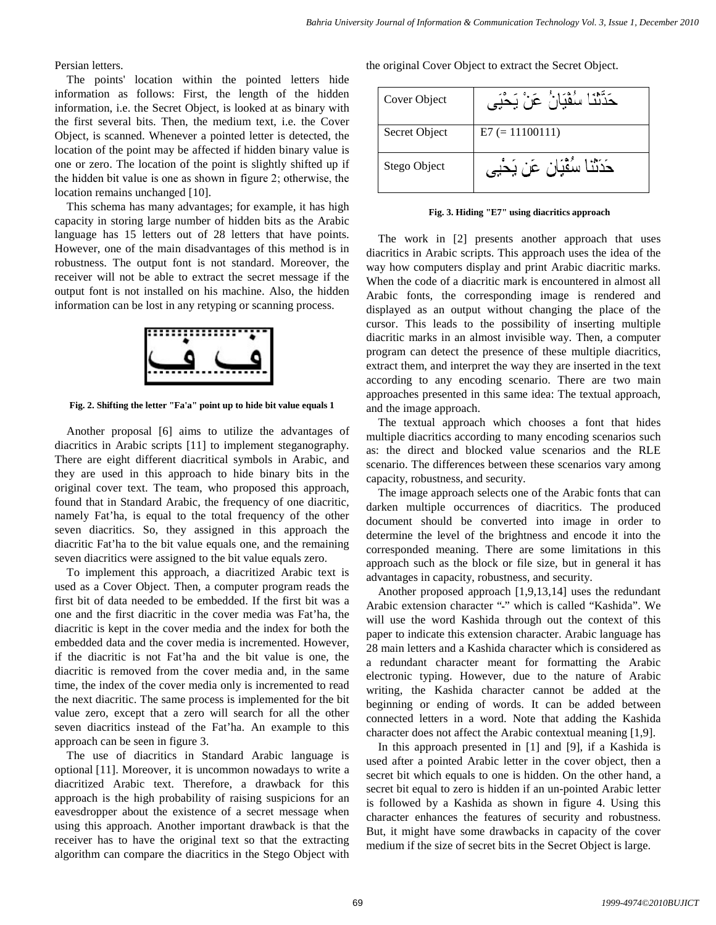Persian letters.

The points' location within the pointed letters hide information as follows: First, the length of the hidden information, i.e. the Secret Object, is looked at as binary with the first several bits. Then, the medium text, i.e. the Cover Object, is scanned. Whenever a pointed letter is detected, the location of the point may be affected if hidden binary value is one or zero. The location of the point is slightly shifted up if the hidden bit value is one as shown in figure 2; otherwise, the location remains unchanged [10].

This schema has many advantages; for example, it has high capacity in storing large number of hidden bits as the Arabic language has 15 letters out of 28 letters that have points. However, one of the main disadvantages of this method is in robustness. The output font is not standard. Moreover, the receiver will not be able to extract the secret message if the output font is not installed on his machine. Also, the hidden information can be lost in any retyping or scanning process.



**Fig. 2. Shifting the letter "Fa'a" point up to hide bit value equals 1**

Another proposal [6] aims to utilize the advantages of diacritics in Arabic scripts [11] to implement steganography. There are eight different diacritical symbols in Arabic, and they are used in this approach to hide binary bits in the original cover text. The team, who proposed this approach, found that in Standard Arabic, the frequency of one diacritic, namely Fat'ha, is equal to the total frequency of the other seven diacritics. So, they assigned in this approach the diacritic Fat'ha to the bit value equals one, and the remaining seven diacritics were assigned to the bit value equals zero.

To implement this approach, a diacritized Arabic text is used as a Cover Object. Then, a computer program reads the first bit of data needed to be embedded. If the first bit was a one and the first diacritic in the cover media was Fat'ha, the diacritic is kept in the cover media and the index for both the embedded data and the cover media is incremented. However, if the diacritic is not Fat'ha and the bit value is one, the diacritic is removed from the cover media and, in the same time, the index of the cover media only is incremented to read the next diacritic. The same process is implemented for the bit value zero, except that a zero will search for all the other seven diacritics instead of the Fat'ha. An example to this approach can be seen in figure 3.

The use of diacritics in Standard Arabic language is optional [11]. Moreover, it is uncommon nowadays to write a diacritized Arabic text. Therefore, a drawback for this approach is the high probability of raising suspicions for an eavesdropper about the existence of a secret message when using this approach. Another important drawback is that the receiver has to have the original text so that the extracting algorithm can compare the diacritics in the Stego Object with

the original Cover Object to extract the Secret Object.

| Cover Object  | حَدَّثَنَا سُفْيَانُ عَنْ يَحْيَى |
|---------------|-----------------------------------|
| Secret Object | $E7 (= 11100111)$                 |
| Stego Object  | حَدَثَنا سُقْيَان عَن يَحْيِي     |

**Fig. 3. Hiding "E7" using diacritics approach**

The work in [2] presents another approach that uses diacritics in Arabic scripts. This approach uses the idea of the way how computers display and print Arabic diacritic marks. When the code of a diacritic mark is encountered in almost all Arabic fonts, the corresponding image is rendered and displayed as an output without changing the place of the cursor. This leads to the possibility of inserting multiple diacritic marks in an almost invisible way. Then, a computer program can detect the presence of these multiple diacritics, extract them, and interpret the way they are inserted in the text according to any encoding scenario. There are two main approaches presented in this same idea: The textual approach, and the image approach.

The textual approach which chooses a font that hides multiple diacritics according to many encoding scenarios such as: the direct and blocked value scenarios and the RLE scenario. The differences between these scenarios vary among capacity, robustness, and security.

The image approach selects one of the Arabic fonts that can darken multiple occurrences of diacritics. The produced document should be converted into image in order to determine the level of the brightness and encode it into the corresponded meaning. There are some limitations in this approach such as the block or file size, but in general it has advantages in capacity, robustness, and security.

Another proposed approach [1,9,13,14] uses the redundant Arabic extension character "-" which is called "Kashida". We will use the word Kashida through out the context of this paper to indicate this extension character. Arabic language has 28 main letters and a Kashida character which is considered as a redundant character meant for formatting the Arabic electronic typing. However, due to the nature of Arabic writing, the Kashida character cannot be added at the beginning or ending of words. It can be added between connected letters in a word. Note that adding the Kashida character does not affect the Arabic contextual meaning [1,9].

In this approach presented in [1] and [9], if a Kashida is used after a pointed Arabic letter in the cover object, then a secret bit which equals to one is hidden. On the other hand, a secret bit equal to zero is hidden if an un-pointed Arabic letter is followed by a Kashida as shown in figure 4. Using this character enhances the features of security and robustness. But, it might have some drawbacks in capacity of the cover medium if the size of secret bits in the Secret Object is large.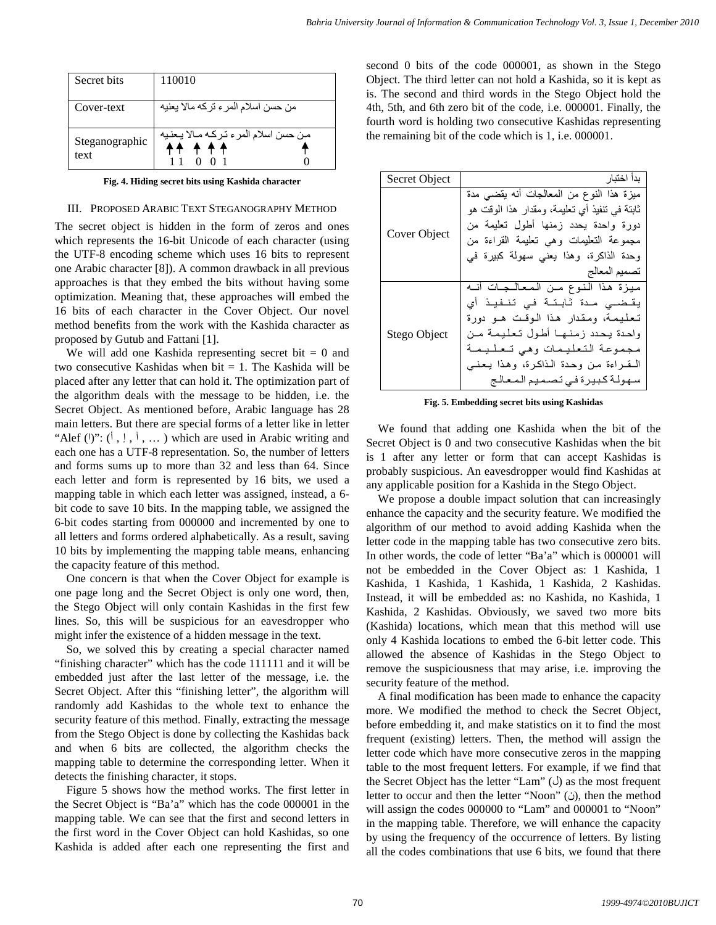| Secret bits            | 110010                                          |
|------------------------|-------------------------------------------------|
| Cover-text             | من حسن اسلام المر ء تركه مالا يعنيه             |
| Steganographic<br>text | من حسن اسلام المرء تركه مـالا يـعنيه<br>$+ + +$ |

**Fig. 4. Hiding secret bits using Kashida character**

### III. PROPOSED ARABIC TEXT STEGANOGRAPHY METHOD

The secret object is hidden in the form of zeros and ones which represents the 16-bit Unicode of each character (using the UTF-8 encoding scheme which uses 16 bits to represent one Arabic character [8]). A common drawback in all previous approaches is that they embed the bits without having some optimization. Meaning that, these approaches will embed the 16 bits of each character in the Cover Object. Our novel method benefits from the work with the Kashida character as proposed by Gutub and Fattani [1].

We will add one Kashida representing secret bit  $= 0$  and two consecutive Kashidas when bit  $= 1$ . The Kashida will be placed after any letter that can hold it. The optimization part of the algorithm deals with the message to be hidden, i.e. the Secret Object. As mentioned before, Arabic language has 28 main letters. But there are special forms of a letter like in letter "Alef  $()$ ":  $($ ,  $|$ ,  $|$ ,  $|$ ,  $\ldots$  ) which are used in Arabic writing and each one has a UTF-8 representation. So, the number of letters and forms sums up to more than 32 and less than 64. Since each letter and form is represented by 16 bits, we used a mapping table in which each letter was assigned, instead, a 6 bit code to save 10 bits. In the mapping table, we assigned the 6-bit codes starting from 000000 and incremented by one to all letters and forms ordered alphabetically. As a result, saving 10 bits by implementing the mapping table means, enhancing the capacity feature of this method.

One concern is that when the Cover Object for example is one page long and the Secret Object is only one word, then, the Stego Object will only contain Kashidas in the first few lines. So, this will be suspicious for an eavesdropper who might infer the existence of a hidden message in the text.

So, we solved this by creating a special character named "finishing character" which has the code 111111 and it will be embedded just after the last letter of the message, i.e. the Secret Object. After this "finishing letter", the algorithm will randomly add Kashidas to the whole text to enhance the security feature of this method. Finally, extracting the message from the Stego Object is done by collecting the Kashidas back and when 6 bits are collected, the algorithm checks the mapping table to determine the corresponding letter. When it detects the finishing character, it stops.

Figure 5 shows how the method works. The first letter in the Secret Object is "Ba'a" which has the code 000001 in the mapping table. We can see that the first and second letters in the first word in the Cover Object can hold Kashidas, so one Kashida is added after each one representing the first and

second 0 bits of the code 000001, as shown in the Stego Object. The third letter can not hold a Kashida, so it is kept as is. The second and third words in the Stego Object hold the 4th, 5th, and 6th zero bit of the code, i.e. 000001. Finally, the fourth word is holding two consecutive Kashidas representing the remaining bit of the code which is 1, i.e. 000001.

| <b>Secret Object</b> | بدأ اختبار                                                                                                                                                                                                                                           |
|----------------------|------------------------------------------------------------------------------------------------------------------------------------------------------------------------------------------------------------------------------------------------------|
| Cover Object         | ميزة هذا النوع من المعالجات أنه يقضى مدة<br>ثابتة في نتفيذ أي تعليمة، ومقدار هذا الوقت هو<br>دورة واحدة يحدد زمنها أطول تعليمة من<br>مجموعة التعليمات وهي نعليمة القراءة من<br>وحدة الذاكرة، وهذا يعني سهولة كبيرة في<br>تصميم المعالج               |
| Stego Object         | ميزة هذا النوع من المعالجات أنه<br>يقـضــى مـدة ثابـتـة فـى تنـفيـذ أي<br>تعليمة، ومقدار هذا الوقت هـو دورة<br>واحدة يحدد زمنها أطول تعليمة من<br>مجموعة التعليمات وهي تعليمة<br>التقراءة من وحدة الذاكرة، وهذا يعني<br>سهولة كبيرة في تصميم المعالج |

**Fig. 5. Embedding secret bits using Kashidas**

We found that adding one Kashida when the bit of the Secret Object is 0 and two consecutive Kashidas when the bit is 1 after any letter or form that can accept Kashidas is probably suspicious. An eavesdropper would find Kashidas at any applicable position for a Kashida in the Stego Object.

We propose a double impact solution that can increasingly enhance the capacity and the security feature. We modified the algorithm of our method to avoid adding Kashida when the letter code in the mapping table has two consecutive zero bits. In other words, the code of letter "Ba'a" which is 000001 will not be embedded in the Cover Object as: 1 Kashida, 1 Kashida, 1 Kashida, 1 Kashida, 1 Kashida, 2 Kashidas. Instead, it will be embedded as: no Kashida, no Kashida, 1 Kashida, 2 Kashidas. Obviously, we saved two more bits (Kashida) locations, which mean that this method will use only 4 Kashida locations to embed the 6-bit letter code. This allowed the absence of Kashidas in the Stego Object to remove the suspiciousness that may arise, i.e. improving the security feature of the method.

A final modification has been made to enhance the capacity more. We modified the method to check the Secret Object, before embedding it, and make statistics on it to find the most frequent (existing) letters. Then, the method will assign the letter code which have more consecutive zeros in the mapping table to the most frequent letters. For example, if we find that the Secret Object has the letter "Lam"  $(\bigcup)$  as the most frequent letter to occur and then the letter "Noon" (i), then the method will assign the codes 000000 to "Lam" and 000001 to "Noon" in the mapping table. Therefore, we will enhance the capacity by using the frequency of the occurrence of letters. By listing all the codes combinations that use 6 bits, we found that there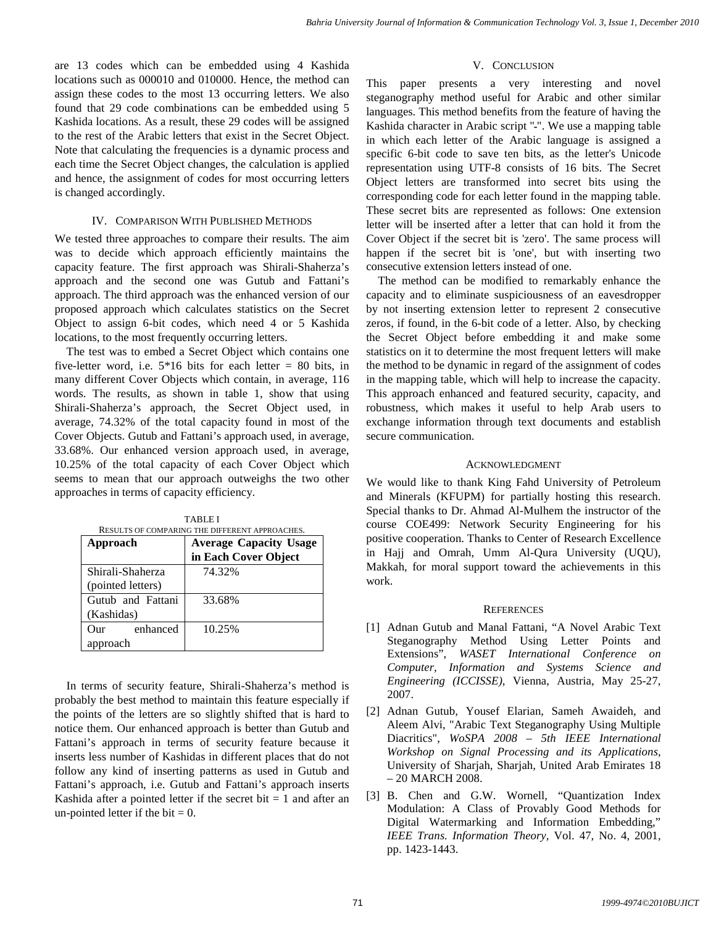are 13 codes which can be embedded using 4 Kashida locations such as 000010 and 010000. Hence, the method can assign these codes to the most 13 occurring letters. We also found that 29 code combinations can be embedded using 5 Kashida locations. As a result, these 29 codes will be assigned to the rest of the Arabic letters that exist in the Secret Object. Note that calculating the frequencies is a dynamic process and each time the Secret Object changes, the calculation is applied and hence, the assignment of codes for most occurring letters is changed accordingly.

## IV. COMPARISON WITH PUBLISHED METHODS

We tested three approaches to compare their results. The aim was to decide which approach efficiently maintains the capacity feature. The first approach was Shirali-Shaherza's approach and the second one was Gutub and Fattani's approach. The third approach was the enhanced version of our proposed approach which calculates statistics on the Secret Object to assign 6-bit codes, which need 4 or 5 Kashida locations, to the most frequently occurring letters.

The test was to embed a Secret Object which contains one five-letter word, i.e.  $5*16$  bits for each letter = 80 bits, in many different Cover Objects which contain, in average, 116 words. The results, as shown in table 1, show that using Shirali-Shaherza's approach, the Secret Object used, in average, 74.32% of the total capacity found in most of the Cover Objects. Gutub and Fattani's approach used, in average, 33.68%. Our enhanced version approach used, in average, 10.25% of the total capacity of each Cover Object which seems to mean that our approach outweighs the two other approaches in terms of capacity efficiency.

| RESULTS OF COMPARING THE DIFFERENT APPROACHES. |                               |  |
|------------------------------------------------|-------------------------------|--|
| Approach                                       | <b>Average Capacity Usage</b> |  |
|                                                | in Each Cover Object          |  |
| Shirali-Shaherza                               | 74.32%                        |  |
| (pointed letters)                              |                               |  |
| Gutub and Fattani                              | 33.68%                        |  |
| (Kashidas)                                     |                               |  |
| enhanced<br>Our                                | 10.25%                        |  |
| approach                                       |                               |  |

TABLE I

In terms of security feature, Shirali-Shaherza's method is probably the best method to maintain this feature especially if the points of the letters are so slightly shifted that is hard to notice them. Our enhanced approach is better than Gutub and Fattani's approach in terms of security feature because it inserts less number of Kashidas in different places that do not follow any kind of inserting patterns as used in Gutub and Fattani's approach, i.e. Gutub and Fattani's approach inserts Kashida after a pointed letter if the secret bit  $= 1$  and after an un-pointed letter if the bit  $= 0$ .

# V. CONCLUSION

This paper presents a very interesting and novel steganography method useful for Arabic and other similar languages. This method benefits from the feature of having the Kashida character in Arabic script "ـ". We use a mapping table in which each letter of the Arabic language is assigned a specific 6-bit code to save ten bits, as the letter's Unicode representation using UTF-8 consists of 16 bits. The Secret Object letters are transformed into secret bits using the corresponding code for each letter found in the mapping table. These secret bits are represented as follows: One extension letter will be inserted after a letter that can hold it from the Cover Object if the secret bit is 'zero'. The same process will happen if the secret bit is 'one', but with inserting two consecutive extension letters instead of one.

The method can be modified to remarkably enhance the capacity and to eliminate suspiciousness of an eavesdropper by not inserting extension letter to represent 2 consecutive zeros, if found, in the 6-bit code of a letter. Also, by checking the Secret Object before embedding it and make some statistics on it to determine the most frequent letters will make the method to be dynamic in regard of the assignment of codes in the mapping table, which will help to increase the capacity. This approach enhanced and featured security, capacity, and robustness, which makes it useful to help Arab users to exchange information through text documents and establish secure communication.

# ACKNOWLEDGMENT

We would like to thank King Fahd University of Petroleum and Minerals (KFUPM) for partially hosting this research. Special thanks to Dr. Ahmad Al-Mulhem the instructor of the course COE499: Network Security Engineering for his positive cooperation. Thanks to Center of Research Excellence in Hajj and Omrah, Umm Al-Qura University (UQU), Makkah, for moral support toward the achievements in this work.

# **REFERENCES**

- [1] Adnan Gutub and Manal Fattani, "A Novel Arabic Text Steganography Method Using Letter Points and Extensions", *WASET International Conference on Computer, Information and Systems Science and Engineering (ICCISSE)*, Vienna, Austria, May 25-27, 2007.
- [2] Adnan Gutub, Yousef Elarian, Sameh Awaideh, and Aleem Alvi, "Arabic Text Steganography Using Multiple Diacritics", *WoSPA 2008 – 5th IEEE International Workshop on Signal Processing and its Applications*, University of Sharjah, Sharjah, United Arab Emirates 18 – 20 MARCH 2008.
- [3] B. Chen and G.W. Wornell, "Quantization Index Modulation: A Class of Provably Good Methods for Digital Watermarking and Information Embedding," *IEEE Trans. Information Theory*, Vol. 47, No. 4, 2001, pp. 1423-1443.